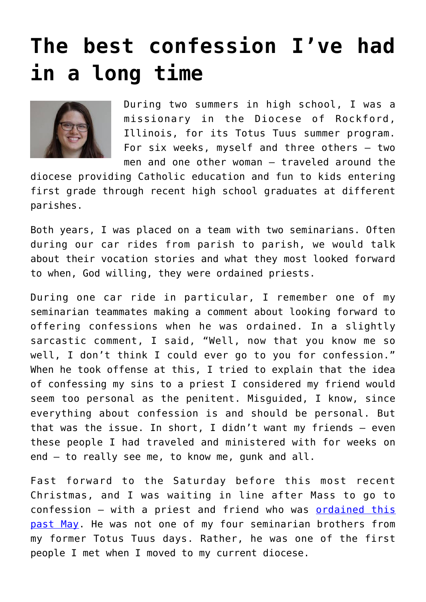## **[The best confession I've had](https://www.osvnews.com/2021/01/18/the-best-confession-ive-had-in-a-long-time/) [in a long time](https://www.osvnews.com/2021/01/18/the-best-confession-ive-had-in-a-long-time/)**



During two summers in high school, I was a missionary in the Diocese of Rockford, Illinois, for its Totus Tuus summer program. For six weeks, myself and three others — two men and one other woman — traveled around the

diocese providing Catholic education and fun to kids entering first grade through recent high school graduates at different parishes.

Both years, I was placed on a team with two seminarians. Often during our car rides from parish to parish, we would talk about their vocation stories and what they most looked forward to when, God willing, they were ordained priests.

During one car ride in particular, I remember one of my seminarian teammates making a comment about looking forward to offering confessions when he was ordained. In a slightly sarcastic comment, I said, "Well, now that you know me so well, I don't think I could ever go to you for confession." When he took offense at this, I tried to explain that the idea of confessing my sins to a priest I considered my friend would seem too personal as the penitent. Misguided, I know, since everything about confession is and should be personal. But that was the issue. In short, I didn't want my friends — even these people I had traveled and ministered with for weeks on end — to really see me, to know me, gunk and all.

Fast forward to the Saturday before this most recent Christmas, and I was waiting in line after Mass to go to confession — with a priest and friend who was [ordained this](https://osvnews.com/2020/06/09/remember-you-are-here-for-a-reason/) [past May](https://osvnews.com/2020/06/09/remember-you-are-here-for-a-reason/). He was not one of my four seminarian brothers from my former Totus Tuus days. Rather, he was one of the first people I met when I moved to my current diocese.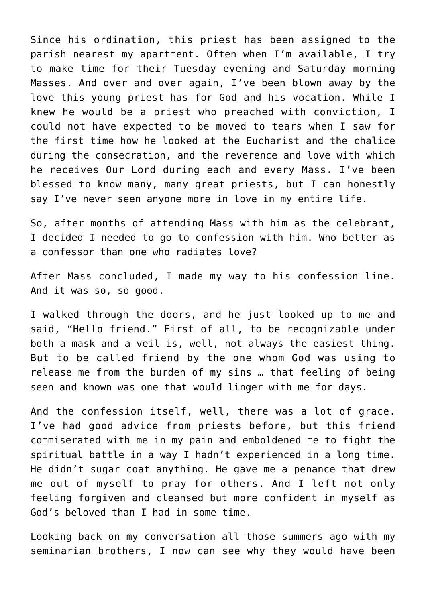Since his ordination, this priest has been assigned to the parish nearest my apartment. Often when I'm available, I try to make time for their Tuesday evening and Saturday morning Masses. And over and over again, I've been blown away by the love this young priest has for God and his vocation. While I knew he would be a priest who preached with conviction, I could not have expected to be moved to tears when I saw for the first time how he looked at the Eucharist and the chalice during the consecration, and the reverence and love with which he receives Our Lord during each and every Mass. I've been blessed to know many, many great priests, but I can honestly say I've never seen anyone more in love in my entire life.

So, after months of attending Mass with him as the celebrant, I decided I needed to go to confession with him. Who better as a confessor than one who radiates love?

After Mass concluded, I made my way to his confession line. And it was so, so good.

I walked through the doors, and he just looked up to me and said, "Hello friend." First of all, to be recognizable under both a mask and a veil is, well, not always the easiest thing. But to be called friend by the one whom God was using to release me from the burden of my sins … that feeling of being seen and known was one that would linger with me for days.

And the confession itself, well, there was a lot of grace. I've had good advice from priests before, but this friend commiserated with me in my pain and emboldened me to fight the spiritual battle in a way I hadn't experienced in a long time. He didn't sugar coat anything. He gave me a penance that drew me out of myself to pray for others. And I left not only feeling forgiven and cleansed but more confident in myself as God's beloved than I had in some time.

Looking back on my conversation all those summers ago with my seminarian brothers, I now can see why they would have been